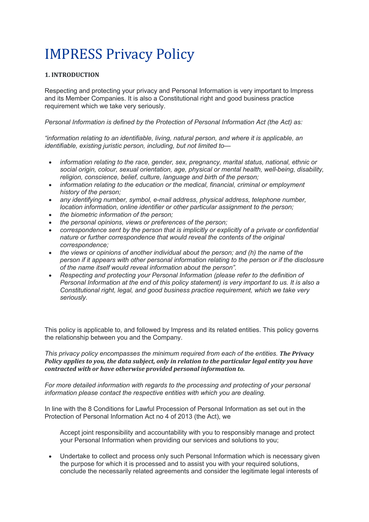# **IMPRESS Privacy Policy**

# **1. INTRODUCTION**

Respecting and protecting your privacy and Personal Information is very important to Impress and its Member Companies. It is also a Constitutional right and good business practice requirement which we take very seriously.

*Personal Information is defined by the Protection of Personal Information Act (the Act) as:*

*"information relating to an identifiable, living, natural person, and where it is applicable, an identifiable, existing juristic person, including, but not limited to—*

- *information relating to the race, gender, sex, pregnancy, marital status, national, ethnic or social origin, colour, sexual orientation, age, physical or mental health, well-being, disability, religion, conscience, belief, culture, language and birth of the person;*
- *information relating to the education or the medical, financial, criminal or employment history of the person;*
- *any identifying number, symbol, e-mail address, physical address, telephone number, location information, online identifier or other particular assignment to the person;*
- *the biometric information of the person;*
- *the personal opinions, views or preferences of the person;*
- *correspondence sent by the person that is implicitly or explicitly of a private or confidential nature or further correspondence that would reveal the contents of the original correspondence;*
- *the views or opinions of another individual about the person; and (h) the name of the person if it appears with other personal information relating to the person or if the disclosure of the name itself would reveal information about the person".*
- *Respecting and protecting your Personal Information (please refer to the definition of Personal Information at the end of this policy statement) is very important to us. It is also a Constitutional right, legal, and good business practice requirement, which we take very seriously.*

This policy is applicable to, and followed by Impress and its related entities. This policy governs the relationship between you and the Company.

*This privacy policy encompasses the minimum required from each of the entities. The Privacy Policy applies* to you, the data subject, only in relation to the particular legal entity you have *contracted with or have otherwise provided personal information to.* 

*For more detailed information with regards to the processing and protecting of your personal information please contact the respective entities with which you are dealing.*

In line with the 8 Conditions for Lawful Procession of Personal Information as set out in the Protection of Personal Information Act no 4 of 2013 (the Act), we

Accept joint responsibility and accountability with you to responsibly manage and protect your Personal Information when providing our services and solutions to you;

• Undertake to collect and process only such Personal Information which is necessary given the purpose for which it is processed and to assist you with your required solutions, conclude the necessarily related agreements and consider the legitimate legal interests of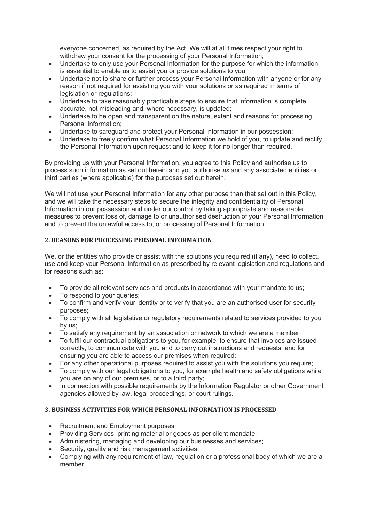everyone concerned, as required by the Act. We will at all times respect your right to withdraw your consent for the processing of your Personal Information;

- Undertake to only use your Personal Information for the purpose for which the information is essential to enable us to assist you or provide solutions to you;
- Undertake not to share or further process your Personal Information with anyone or for any reason if not required for assisting you with your solutions or as required in terms of legislation or regulations;
- Undertake to take reasonably practicable steps to ensure that information is complete, accurate, not misleading and, where necessary, is updated;
- Undertake to be open and transparent on the nature, extent and reasons for processing Personal Information;
- Undertake to safeguard and protect your Personal Information in our possession;
- Undertake to freely confirm what Personal Information we hold of you, to update and rectify the Personal Information upon request and to keep it for no longer than required.

By providing us with your Personal Information, you agree to this Policy and authorise us to process such information as set out herein and you authorise *us* and any associated entities or third parties (where applicable) for the purposes set out herein.

We will not use your Personal Information for any other purpose than that set out in this Policy, and we will take the necessary steps to secure the integrity and confidentiality of Personal Information in our possession and under our control by taking appropriate and reasonable measures to prevent loss of, damage to or unauthorised destruction of your Personal Information and to prevent the unlawful access to, or processing of Personal Information.

# **2. REASONS FOR PROCESSING PERSONAL INFORMATION**

We, or the entities who provide or assist with the solutions you required (if any), need to collect, use and keep your Personal Information as prescribed by relevant legislation and regulations and for reasons such as:

- To provide all relevant services and products in accordance with your mandate to us;
- To respond to your queries;
- To confirm and verify your identity or to verify that you are an authorised user for security purposes;
- To comply with all legislative or regulatory requirements related to services provided to you by us;
- To satisfy any requirement by an association or network to which we are a member;
- To fulfil our contractual obligations to you, for example, to ensure that invoices are issued correctly, to communicate with you and to carry out instructions and requests, and for ensuring you are able to access our premises when required;
- For any other operational purposes required to assist you with the solutions you require;
- To comply with our legal obligations to you, for example health and safety obligations while you are on any of our premises, or to a third party;
- In connection with possible requirements by the Information Regulator or other Government agencies allowed by law, legal proceedings, or court rulings.

# **3. BUSINESS ACTIVITIES FOR WHICH PERSONAL INFORMATION IS PROCESSED**

- Recruitment and Employment purposes
- Providing Services, printing material or goods as per client mandate;
- Administering, managing and developing our businesses and services;
- Security, quality and risk management activities:
- Complying with any requirement of law, regulation or a professional body of which we are a member.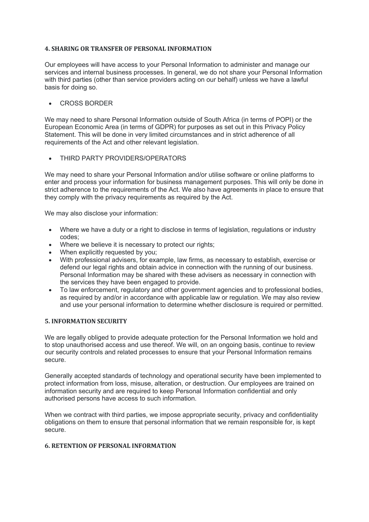## **4. SHARING OR TRANSFER OF PERSONAL INFORMATION**

Our employees will have access to your Personal Information to administer and manage our services and internal business processes. In general, we do not share your Personal Information with third parties (other than service providers acting on our behalf) unless we have a lawful basis for doing so.

## • CROSS BORDER

We may need to share Personal Information outside of South Africa (in terms of POPI) or the European Economic Area (in terms of GDPR) for purposes as set out in this Privacy Policy Statement. This will be done in very limited circumstances and in strict adherence of all requirements of the Act and other relevant legislation.

## • THIRD PARTY PROVIDERS/OPERATORS

We may need to share your Personal Information and/or utilise software or online platforms to enter and process your information for business management purposes. This will only be done in strict adherence to the requirements of the Act. We also have agreements in place to ensure that they comply with the privacy requirements as required by the Act.

We may also disclose your information:

- Where we have a duty or a right to disclose in terms of legislation, regulations or industry codes;
- Where we believe it is necessary to protect our rights;
- When explicitly requested by you:
- With professional advisers, for example, law firms, as necessary to establish, exercise or defend our legal rights and obtain advice in connection with the running of our business. Personal Information may be shared with these advisers as necessary in connection with the services they have been engaged to provide.
- To law enforcement, regulatory and other government agencies and to professional bodies, as required by and/or in accordance with applicable law or regulation. We may also review and use your personal information to determine whether disclosure is required or permitted.

#### **5. INFORMATION SECURITY**

We are legally obliged to provide adequate protection for the Personal Information we hold and to stop unauthorised access and use thereof. We will, on an ongoing basis, continue to review our security controls and related processes to ensure that your Personal Information remains secure.

Generally accepted standards of technology and operational security have been implemented to protect information from loss, misuse, alteration, or destruction. Our employees are trained on information security and are required to keep Personal Information confidential and only authorised persons have access to such information.

When we contract with third parties, we impose appropriate security, privacy and confidentiality obligations on them to ensure that personal information that we remain responsible for, is kept secure.

#### **6. RETENTION OF PERSONAL INFORMATION**